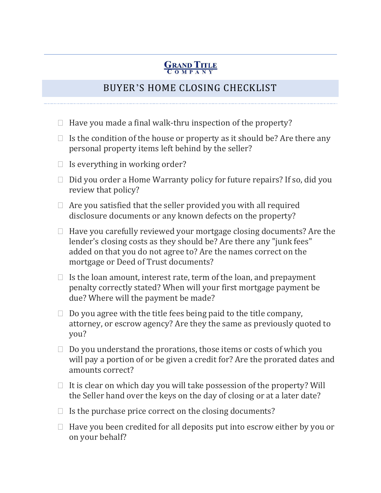## **GRAND TITLE**

## BUYER'S HOME CLOSING CHECKLIST

- $\Box$  Have you made a final walk-thru inspection of the property?
- $\Box$  Is the condition of the house or property as it should be? Are there any personal property items left behind by the seller?
- $\Box$  Is everything in working order?
- $\Box$  Did you order a Home Warranty policy for future repairs? If so, did you review that policy?
- $\Box$  Are you satisfied that the seller provided you with all required disclosure documents or any known defects on the property?
- $\Box$  Have you carefully reviewed your mortgage closing documents? Are the lender's closing costs as they should be? Are there any "junk fees" added on that you do not agree to? Are the names correct on the mortgage or Deed of Trust documents?
- $\Box$  Is the loan amount, interest rate, term of the loan, and prepayment penalty correctly stated? When will your first mortgage payment be due? Where will the payment be made?
- $\Box$  Do you agree with the title fees being paid to the title company, attorney, or escrow agency? Are they the same as previously quoted to you?
- $\Box$  Do you understand the prorations, those items or costs of which you will pay a portion of or be given a credit for? Are the prorated dates and amounts correct?
- $\Box$  It is clear on which day you will take possession of the property? Will the Seller hand over the keys on the day of closing or at a later date?
- $\Box$  Is the purchase price correct on the closing documents?
- $\Box$  Have you been credited for all deposits put into escrow either by you or on your behalf?